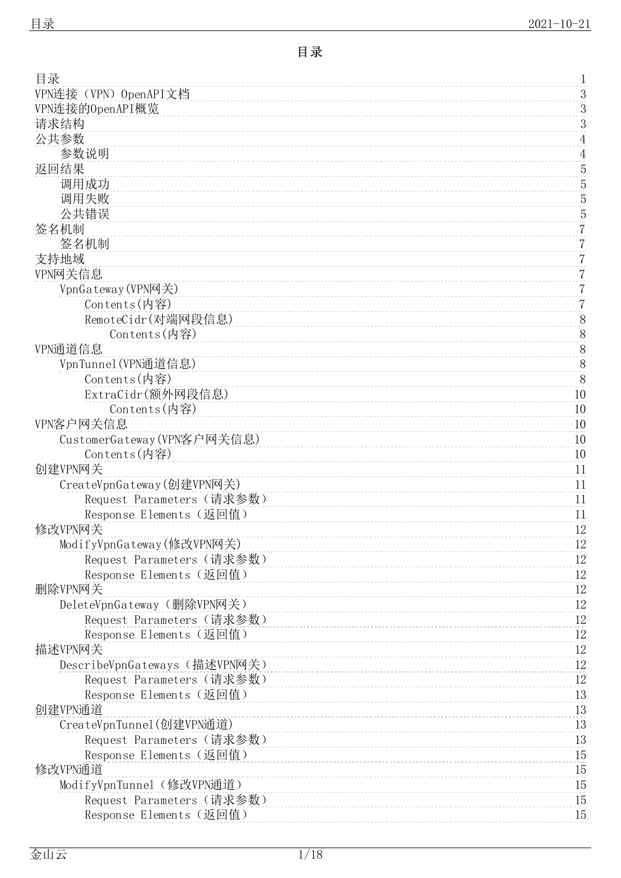<span id="page-0-0"></span>

| 目录                            | 1              |
|-------------------------------|----------------|
| VPN连接 (VPN) OpenAPI文档         | $\sqrt{3}$     |
| VPN连接的OpenAPI概览               | 3              |
| 请求结构                          | 3              |
| 公共参数                          | $\overline{4}$ |
| 参数说明                          | $\overline{4}$ |
| 返回结果                          | 5              |
| 调用成功                          | $\overline{5}$ |
| 调用失败                          | $\overline{5}$ |
| 公共错误                          | $\overline{5}$ |
| 签名机制                          | $\sqrt{2}$     |
| 签名机制                          | 7              |
| 支持地域                          | $\overline{7}$ |
| VPN网关信息                       | $\overline{7}$ |
| VpnGateway (VPN网关)            | $\overline{7}$ |
| Contents(内容)                  | $\overline{7}$ |
| RemoteCidr(对端网段信息)            |                |
| Contents(内容)                  | $8\,$          |
|                               | 8              |
| VPN通道信息                       | $\frac{8}{8}$  |
| VpnTunne1 (VPN通道信息)           | 8              |
| Contents(内容)                  |                |
| ExtraCidr(额外网段信息)             | 10             |
| Contents(内容)                  | 10             |
| VPN客户网关信息                     | 10             |
| CustomerGateway (VPN客户网关信息)   | 10             |
| $Contents$ (内容)               | 10             |
| 创建VPN网关                       | 11             |
| CreateVpnGateway(创建VPN网关)     | 11             |
| Request Parameters (请求参数)     | 11             |
| Response Elements (返回值)       | 11             |
| 修改VPN网关                       | 12             |
| ModifyVpnGateway(修改VPN网关)     | 12             |
| Request Parameters (请求参数)     | 12             |
| Response Elements (返回值)       | $12\,$         |
| 删除VPN网关                       | 12             |
| DeleteVpnGateway (删除VPN网关)    | $12\,$         |
| Request Parameters (请求参数)     | 12             |
| Response Elements (返回值)       | 12             |
| 描述VPN网关                       | 12             |
| DescribeVpnGateways (描述VPN网关) | $12\,$         |
| Request Parameters (请求参数)     | 12             |
| Response Elements (返回值)       | 13             |
| 创建VPN通道                       | 13             |
| CreateVpnTunne1(创建VPN通道)      | 13             |
| Request Parameters (请求参数)     | 13             |
| Response Elements (返回值)       | 15             |
| 修改VPN通道                       | 15             |
| ModifyVpnTunnel(修改VPN通道)      | 15             |
| Request Parameters (请求参数)     | 15             |
| Response Elements (返回值)       | 15             |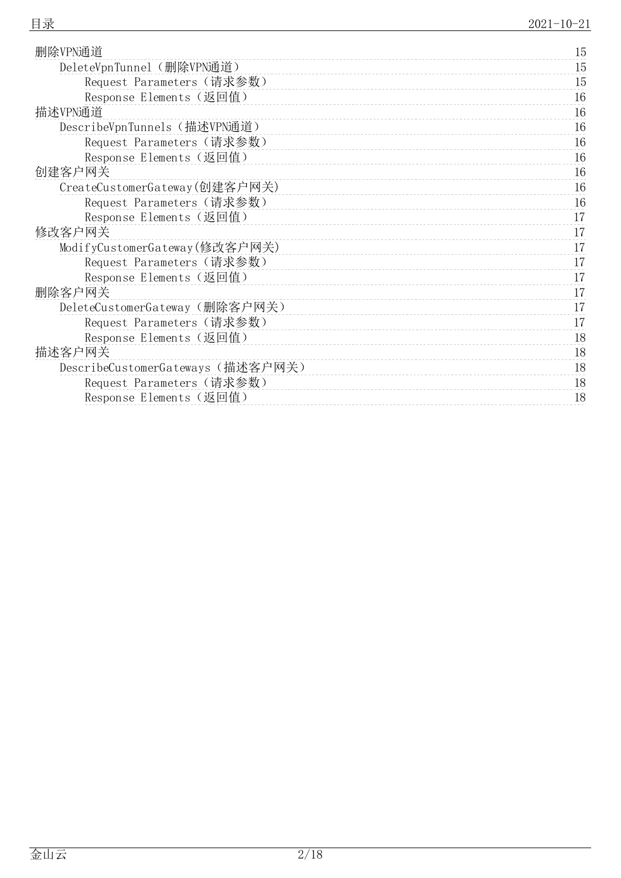| 删除VPN通道                          | 15 |
|----------------------------------|----|
| DeleteVpnTunnel (删除VPN通道)        | 15 |
| Request Parameters (请求参数)        | 15 |
| Response Elements (返回值)          | 16 |
| 描述VPN通道                          | 16 |
| DescribeVpnTunnels (描述VPN通道)     | 16 |
| Request Parameters (请求参数)        | 16 |
| Response Elements (返回值)          | 16 |
| 创建客户网关                           | 16 |
| CreateCustomerGateway(创建客户网关)    | 16 |
| Request Parameters (请求参数)        | 16 |
| Response Elements (返回值)          | 17 |
| 修改客户网关                           | 17 |
| ModifyCustomerGateway(修改客户网关)    | 17 |
| Request Parameters (请求参数)        | 17 |
| Response Elements (返回值)          | 17 |
| 删除客户网关                           | 17 |
| DeleteCustomerGateway (删除客户网关)   | 17 |
| Request Parameters (请求参数)        | 17 |
| Response Elements (返回值)          | 18 |
| 描述客户网关                           | 18 |
| DescribeCustomerGateways(描述客户网关) | 18 |
| Request Parameters (请求参数)        | 18 |
| Response Elements (返回值)          | 18 |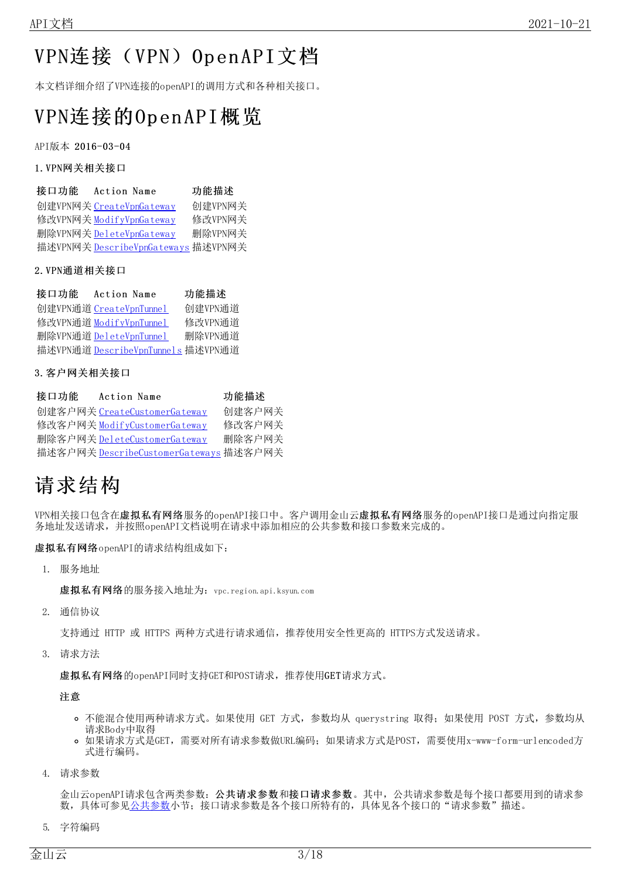# <span id="page-2-3"></span><span id="page-2-0"></span>VPN连接 (VPN) OpenAPI文档

本文档详细介绍了VPN连接的openAPI的调用方式和各种相关接口。

# <span id="page-2-1"></span>VPN连接的Op en API概览

API版本 2016-03-04

#### 1.VPN网关相关接口

| 接口功能 | Action Name                         | 功能描述    |
|------|-------------------------------------|---------|
|      | 创建VPN网关 CreateVpnGateway            | 创建VPN网关 |
|      | 修改VPN网关 ModifyVpnGateway            | 修改VPN网关 |
|      | 删除VPN网关 DeleteVpnGateway            | 删除VPN网关 |
|      | 描述VPN网关 DescribeVpnGateways 描述VPN网关 |         |

#### 2.VPN通道相关接口

| 接口功能 | Action Name                        | 功能描述    |
|------|------------------------------------|---------|
|      | 创建VPN通道 CreateVpnTunnel            | 创建VPN通道 |
|      | 修改VPN通道 ModifyVpnTunnel            | 修改VPN通道 |
|      | 删除VPN通道 DeleteVpnTunnel            | 删除VPN通道 |
|      | 描述VPN通道 DescribeVpnTunnels 描述VPN通道 |         |

#### 3.客户网关相关接口

| 接口功能 | Action Name                            | 功能描述   |
|------|----------------------------------------|--------|
|      | 创建客户网关 CreateCustomerGateway           | 创建客户网关 |
|      | 修改客户网关 ModifyCustomerGateway           | 修改客户网关 |
|      | 删除客户网关 DeleteCustomerGateway           | 删除客户网关 |
|      | 描述客户网关 DescribeCustomerGateways 描述客户网关 |        |

# <span id="page-2-2"></span>请求结构

VPN相关接口包含在虚拟私有网络服务的openAPI接口中。客户调用金山云虚拟私有网络服务的openAPI接口是通过向指定服 务地址发送请求,并按照openAPI文档说明在请求中添加相应的公共参数和接口参数来完成的。

虚拟私有网络openAPI的请求结构组成如下:

1. 服务地址

虚拟私有网络的服务接入地址为:vpc.region.api.ksyun.com

2. 通信协议

支持通过 HTTP 或 HTTPS 两种方式进行请求通信,推荐使用安全性更高的 HTTPS方式发送请求。

3. 请求方法

虚拟私有网络的openAPI同时支持GET和POST请求,推荐使用GET请求方式。

注意

- o 不能混合使用两种请求方式。如果使用 GET 方式,参数均从 querystring 取得; 如果使用 POST 方式, 参数均从 请求Body中取得
- 如果请求方式是GET,需要对所有请求参数做URL编码;如果请求方式是POST,需要使用x-www-form-urlencoded方 式进行编码。
- 4. 请求参数

金山云openAPI请求包含两类参数:公共请求参数和接口请求参数。其中,公共请求参数是每个接口都要用到的请求参 数,具体可参[见公共参数小](https://docs.ksyun.com/documents/5312)节;接口请求参数是各个接口所特有的,具体见各个接口的"请求参数"描述。

5. 字符编码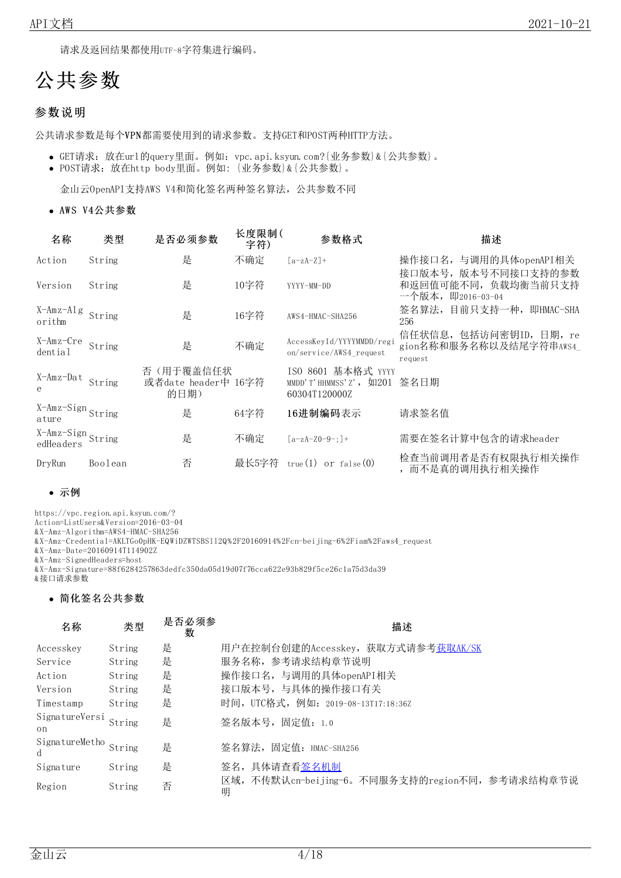请求及返回结果都使用UTF-8字符集进行编码。

# <span id="page-3-0"></span>公共参数

### <span id="page-3-1"></span>参数说明

公共请求参数是每个VPN都需要使用到的请求参数。支持GET和POST两种HTTP方法。

- GET请求:放在url的query里面。例如:vpc.api.ksyun.com?{业务参数}&{公共参数}。
- POST请求:放在http body里面。例如: {业务参数}&{公共参数}。

金山云OpenAPI支持AWS V4和简化签名两种签名算法,公共参数不同

• AWS V4公共参数

| 名称                                | 类型      | 是否必须参数                                   | 长度限制(<br>字符) | 参数格式                                                                         | 描述                                                              |
|-----------------------------------|---------|------------------------------------------|--------------|------------------------------------------------------------------------------|-----------------------------------------------------------------|
| Action                            | String  | 是                                        | 不确定          | $[a-zA-Z]+$                                                                  | 操作接口名, 与调用的具体openAPI相关                                          |
| Version                           | String  | 是                                        | 10字符         | YYYY-MM-DD                                                                   | 接口版本号, 版本号不同接口支持的参数<br>和返回值可能不同, 负载均衡当前只支持<br>一个版本, 即2016-03-04 |
| X-Amz-Alg<br>orithm               | String  | 是                                        | 16字符         | AWS4-HMAC-SHA256                                                             | 签名算法, 目前只支持一种, 即HMAC-SHA<br>256                                 |
| X-Amz-Cre<br>dential              | String  | 是                                        | 不确定          | AccessKeyId/YYYYMMDD/regi<br>on/service/AWS4 request                         | 信任状信息, 包括访问密钥ID, 日期, re<br>gion名称和服务名称以及结尾字符串AWS4<br>request    |
| X-Amz-Dat<br>e                    | String  | 否(用于覆盖信任状<br>或者date header中 16字符<br>的日期) |              | ISO 8601 基本格式 YYYY<br>MMDD'T'HHMMSS'Z', $\overline{5}$ H201<br>60304T120000Z | 签名日期                                                            |
| X-Amz-Sign String<br>ature        |         | 是                                        | 64字符         | 16进制编码表示                                                                     | 请求签名值                                                           |
| X-Amz-Sign<br>edHeaders<br>String |         | 是                                        | 不确定          | $[a-zA-Z0-9-1]+$                                                             | 需要在签名计算中包含的请求header                                             |
| DryRun                            | Boolean | 否                                        | 最长5字符        | true $(1)$ or false $(0)$                                                    | 检查当前调用者是否有权限执行相关操作<br>而不是真的调用执行相关操作                             |

#### 示例

https://vpc.region.api.ksyun.com/?

Action=ListUsers&Version=2016-03-04

&X-Amz-Algorithm=AWS4-HMAC-SHA256

&X-Amz-Credential=AKLTGo0pHK-EQWiDZWTSBSll2Q%2F20160914%2Fcn-beijing-6%2Fiam%2Faws4\_request

&X-Amz-Date=20160914T114902Z

&X-Amz-SignedHeaders=host

&X-Amz-Signature=88f6284257863dedfc350da05d19d07f76cca622e93b829f5ce26c1a75d3da39 &接口请求参数

# 简化签名公共参数

| 名称                         | 类型     | 是否必须参<br>数 | 描述                                                   |
|----------------------------|--------|------------|------------------------------------------------------|
| Accesskey                  | String | 是          | 用户在控制台创建的Accesskey, 获取方式请参考获取AK/SK                   |
| Service                    | String | 是          | 服务名称, 参考请求结构章节说明                                     |
| Action                     | String | 是          | 操作接口名, 与调用的具体openAPI相关                               |
| Version                    | String | 是          | 接口版本号, 与具体的操作接口有关                                    |
| Timestamp                  | String | 是          | 时间, UTC格式, 例如: 2019-08-13T17:18:36Z                  |
| SignatureVersi<br>on       | String | 是          | 签名版本号,固定值: 1.0                                       |
| SignatureMetho String<br>d |        | 是          | 签名算法,固定值: HMAC-SHA256                                |
| Signature                  | String | 是          | 签名, 具体请查看签名机制                                        |
| Region                     | String | 否          | 区域, 不传默认cn-beijing-6。不同服务支持的region不同, 参考请求结构章节说<br>明 |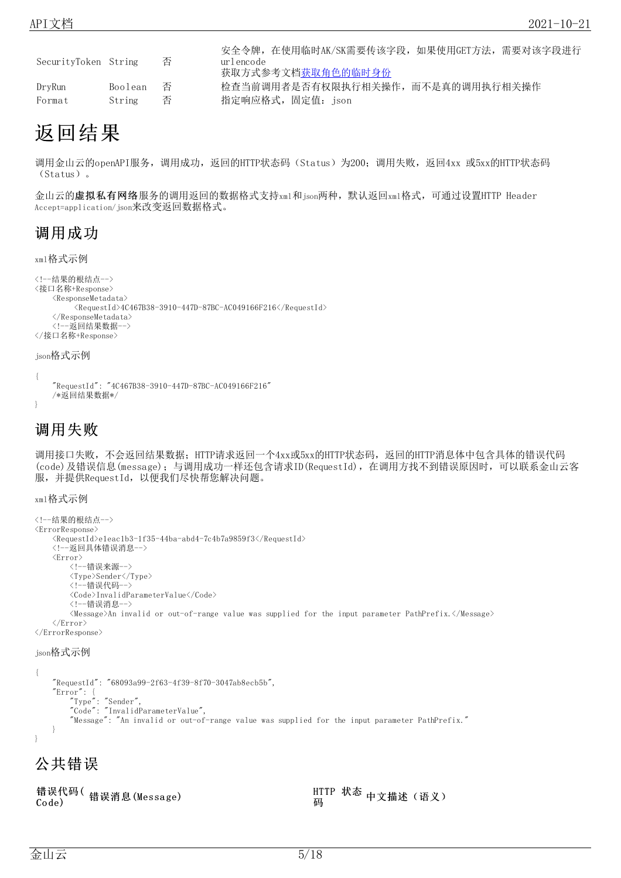|                      |         | 否  | 安全令牌,在使用临时AK/SK需要传该字段,如果使用GET方法,需要对该字段进行 |
|----------------------|---------|----|------------------------------------------|
| SecurityToken String |         |    | urlencode<br>获取方式参考文档获取角色的临时身份           |
| DryRun               | Boolean | 一合 | 检查当前调用者是否有权限执行相关操作,而不是真的调用执行相关操作         |
| Format               | String  | 否  | 指定响应格式,固定值: json                         |

# <span id="page-4-0"></span>返回结果

调用金山云的openAPI服务,调用成功,返回的HTTP状态码(Status)为200;调用失败,返回4xx 或5xx的HTTP状态码 (Status)。

金山云的**虚拟私有网络**服务的调用返回的数据格式支持xml和json两种,默认返回xml格式,可通过设置HTTP Header Accept=application/json来改变返回数据格式。

# <span id="page-4-1"></span>调用成功

#### xml格式示例

```
<!--结果的根结点-->
<接口名称+Response>
    <ResponseMetadata>
         \langle Required \rangle4C467B38-3910-447D-87BC-AC049166F216\langleRequestId\rangle</ResponseMetadata>
    <!--返回结果数据-->
</接口名称+Response>
```
#### json格式示例

```
{
   "RequestId": "4C467B38-3910-447D-87BC-AC049166F216"
   /*返回结果数据*/
}
```
## <span id="page-4-2"></span>调用失败

调用接口失败,不会返回结果数据; HTTP请求返回一个4xx或5xx的HTTP状态码, 返回的HTTP消息体中包含具体的错误代码 (code)及错误信息(message);与调用成功一样还包含请求ID(RequestId),在调用方找不到错误原因时,可以联系金山云客 服,并提供RequestId,以便我们尽快帮您解决问题。

xml格式示例

```
<!--结果的根结点-->
<ErrorResponse>
    <RequestId>e1eac1b3-1f35-44ba-abd4-7c4b7a9859f3</RequestId>
    <!--返回具体错误消息-->
    <Error>
        <!--错误来源-->
        <Type>Sender</Type>
        <!--错误代码-->
        <Code>InvalidParameterValue</Code>
        <!--错误消息-->
        <Message>An invalid or out-of-range value was supplied for the input parameter PathPrefix.</Message>
    \langle / \text{Error} \rangle\langle / \text{ErrorResponse} \rangle
```
#### json格式示例

```
{
   "RequestId": "68093a99-2f63-4f39-8f70-3047ab8ecb5b",
    "Error":
        "Type": "Sender",
        "Code": "InvalidParameterValue",
        "Message": "An invalid or out-of-range value was supplied for the input parameter PathPrefix."
   }
}
```
# <span id="page-4-3"></span>公共错误

|       | 错误代码(错误消息(Message) |
|-------|--------------------|
| Code) |                    |

HTTP 状态, Ⅲ IF <del>ひ</del>密 中文描述(语义)<br>码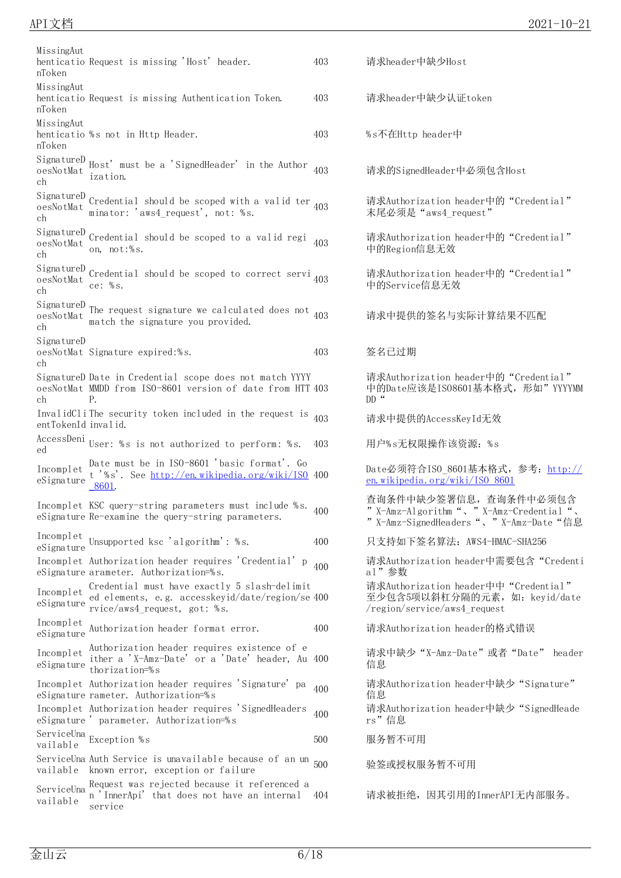| MissingAut<br>nToken                           | henticatio Request is missing 'Host' header.                                                                                                                          | 403 | 请求header中缺少Host                                                                                |
|------------------------------------------------|-----------------------------------------------------------------------------------------------------------------------------------------------------------------------|-----|------------------------------------------------------------------------------------------------|
| MissingAut<br>nToken                           | henticatio Request is missing Authentication Token.                                                                                                                   | 403 | 请求header中缺少认证token                                                                             |
| MissingAut<br>nToken                           | henticatio %s not in Http Header.                                                                                                                                     | 403 | %s不在Http header中                                                                               |
| oesNotMat<br>ch                                | $\begin{minipage}{.4\linewidth} \texttt{SignatureD} \\\texttt{Host'} \quad \texttt{must be a 'SignedHeader'} \quad \texttt{in the Author} \end{minipage}$<br>ization. | 403 | 请求的SignedHeader中必须包含Host                                                                       |
| SignatureD<br>oesNotMat<br>ch                  | Credential should be scoped with a valid ter $_{403}$<br>minator: 'aws4_request', not: %s.                                                                            |     | 请求Authorization header中的"Credent<br>末尾必须是 "aws4 request"                                       |
| SignatureD<br>oesNotMat<br>ch                  | Credential should be scoped to a valid regi<br>on, not:%s.                                                                                                            | 403 | 请求Authorization header中的"Credent<br>中的Region信息无效                                               |
| SignatureD<br>$o$ es<br>No t<br><br>Ma t<br>ch | Credential should be scoped to correct servi <sub>403</sub><br>ce: $%s.$                                                                                              |     | 请求Authorization header中的"Credent<br>中的Service信息无效                                              |
| SignatureD<br>oesNotMat<br>ch                  | The request signature we calculated does not $_{403}$<br>match the signature you provided.                                                                            |     | 请求中提供的签名与实际计算结果不匹配                                                                             |
| SignatureD<br>ch                               | oesNotMat Signature expired:%s.                                                                                                                                       | 403 | 签名己过期                                                                                          |
| ch                                             | SignatureD Date in Credential scope does not match YYYY<br>oesNotMat MMDD from ISO-8601 version of date from HTT 403<br>Р.                                            |     | 请求Authorization header中的"Credent<br>中的Date应该是IS08601基本格式,形如"<br>$DD$ "                         |
| entTokenId invalid.                            | InvalidCliThe security token included in the request is                                                                                                               | 403 | 请求中提供的AccessKeyId无效                                                                            |
| AccessDeni<br>ed                               | User: %s is not authorized to perform: %s.                                                                                                                            | 403 | 用户%s无权限操作该资源: %s                                                                               |
| Incomplet<br>eSignature                        | Date must be in ISO-8601 'basic format'. Go<br>t '%s'. See <u>http://en.wikipedia.org/wiki/ISO</u> 400<br>8601.                                                       |     | Date必须符合ISO 8601基本格式, 参考: 1<br>en. wikipedia. org/wiki/ISO 8601                                |
|                                                | Incomplet KSC query-string parameters must include %s. 400<br>eSignature Re-examine the query-string parameters.                                                      |     | 查询条件中缺少签署信息, 查询条件中必<br>"X-Amz-Algorithm", "X-Amz-Credent<br>"X-Amz-SignedHeaders", "X-Amz-Date |
| Incomplet<br>eSignature                        | Unsupported ksc 'algorithm': %s.                                                                                                                                      | 400 | 只支持如下签名算法: AWS4-HMAC-SHA256                                                                    |
|                                                | Incomplet Authorization header requires 'Credential' p<br>eSignature arameter. Authorization=%s.                                                                      | 400 | 请求Authorization header中需要包含"O<br>al"参数                                                         |
| Incomplet<br>eSignature                        | Credential must have exactly 5 slash-delimit<br>ed elements, e.g. accesskeyid/date/region/se 400<br>rvice/aws4 request, got: %s.                                      |     | 请求Authorization header中中 "Credent<br>至少包含5项以斜杠分隔的元素, 如: keyi<br>/region/service/aws4 request   |
| Incomplet<br>eSignature                        | Authorization header format error.                                                                                                                                    | 400 | 请求Authorization header的格式错误                                                                    |
| Incomplet<br>$e$ Signature                     | Authorization header requires existence of e<br>ither a 'X-Amz-Date' or a 'Date' header, Au 400<br>thorization=%s                                                     |     | 请求中缺少 "X-Amz-Date"或者 "Date"<br>信息                                                              |
|                                                | Incomplet Authorization header requires 'Signature' pa<br>eSignature rameter. Authorization=%s                                                                        | 400 | 请求Authorization header中缺少"Signa<br>信息                                                          |
|                                                | Incomplet Authorization header requires 'SignedHeaders<br>eSignature 'parameter. Authorization=%s                                                                     | 400 | 请求Authorization header中缺少"Signe<br>rs"信息                                                       |
| vailable                                       | ServiceUna Exception %s                                                                                                                                               | 500 | 服务暂不可用                                                                                         |
| vailable                                       | ServiceUna Auth Service is unavailable because of an un<br>known error, exception or failure                                                                          | 500 | 验签或授权服务暂不可用                                                                                    |
| ServiceUna<br>vailable                         | Request was rejected because it referenced a<br>n 'InnerApi' that does not have an internal<br>service                                                                | 404 | 请求被拒绝, 因其引用的InnerAPI无内部!                                                                       |

| 403 | 请求header中缺少认证token                                                                                       |
|-----|----------------------------------------------------------------------------------------------------------|
| 403 | %s不在Http header中                                                                                         |
| 403 | 请求的SignedHeader中必须包含Host                                                                                 |
| 403 | 请求Authorization header中的"Credential"<br>末尾必须是 "aws4 request"                                             |
| 403 | 请求Authorization header中的"Credential"<br>中的Region信息无效                                                     |
| 403 | 请求Authorization header中的"Credential"<br>中的Service信息无效                                                    |
| 403 | 请求中提供的签名与实际计算结果不匹配                                                                                       |
| 403 | 签名已过期                                                                                                    |
| 403 | 请求Authorization header中的"Credential"<br>中的Date应该是IS08601基本格式, 形如"YYYYMM<br>$DD$ "                        |
| 403 | 请求中提供的AccessKeyId无效                                                                                      |
| 403 | 用户%s无权限操作该资源: %s                                                                                         |
| 400 | Date必须符合ISO 8601基本格式, 参考: http://<br>en. wikipedia. org/wiki/ISO 8601                                    |
| 400 | 查询条件中缺少签署信息, 查询条件中必须包含<br>"X-Amz-Algorithm", "X-Amz-Credential",<br>"X-Amz-SignedHeaders"、"X-Amz-Date"信息 |
| 400 | 只支持如下签名算法: AWS4-HMAC-SHA256                                                                              |
| 400 | 请求Authorization header中需要包含"Credenti<br>a1" 参数                                                           |
| 400 | 请求Authorization header中中 "Credential"<br>至少包含5项以斜杠分隔的元素, 如: keyid/date<br>/region/service/aws4 request   |
| 400 | 请求Authorization header的格式错误                                                                              |
| 400 | 请求中缺少"X-Amz-Date"或者"Date" header<br>信息                                                                   |
| 400 | 请求Authorization header中缺少"Signature"<br>信息                                                               |
| 400 | 请求Authorization header中缺少"SignedHeade<br>rs"信息                                                           |
| 500 | 服务暂不可用                                                                                                   |
| 500 | 验签或授权服务暂不可用                                                                                              |
| 404 | 请求被拒绝, 因其引用的InnerAPI无内部服务。                                                                               |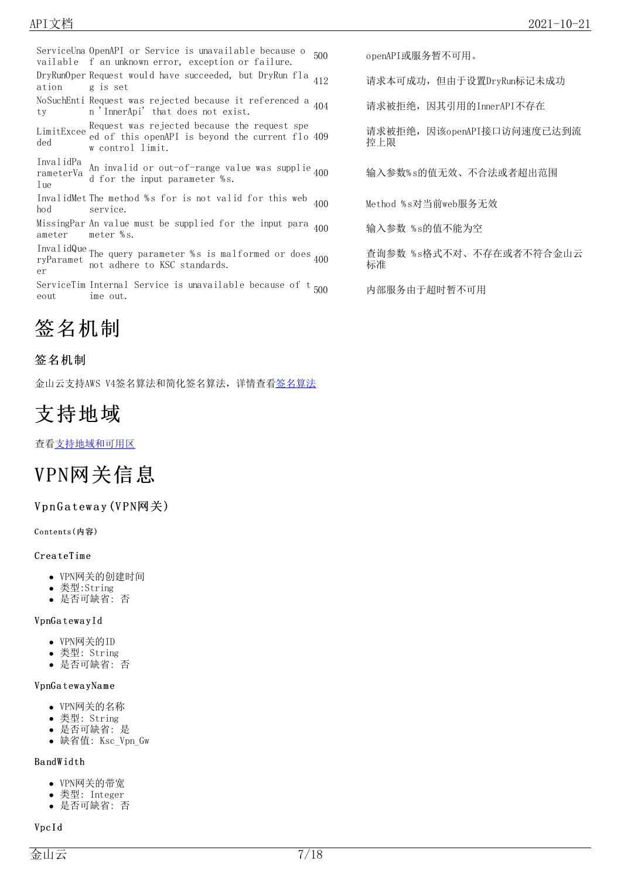ServiceUna OpenAPI or Service is unavailable because o vailable f an unknown error, exception or failure. DryRunOper Request would have succeeded, but DryRun fla ation g is set NoSuchEnti Request was rejected because it referenced a ty n 'InnerApi' that does not exist. Request was rejected because the request spe<br>LimitExcee at effective conduction because the cumum flag ded ed of this openAPI is beyond the current flo w control limit. InvalidPa rameterVa An invalid or out-of-range value was supplie lue rameterVa d for the input parameter % s. InvalidMet The method %s for is not valid for this web hod service. MissingPar An value must be supplied for the input para ameter meter % s. InvalidQue ryParamet The query parameter % s is malformed or does er not adhere to KSC standards. ServiceTim Internal Service is unavailable because of t eout ime out.

# <span id="page-6-0"></span>签名机制

### <span id="page-6-1"></span>签名机制

金山云支持AWS V4签名算法和简化签名算法,详情查[看签名算法](https://docs.ksyun.com/documents/40248)

# <span id="page-6-2"></span>支持地域

查[看支持地域和可用区](https://docs.ksyun.com/documents/67)

# <span id="page-6-3"></span>VPN网关信息

### <span id="page-6-4"></span>VpnGateway (VPN网关)

<span id="page-6-5"></span>Contents(内容)

#### **CreateTime**

- VPN网关的创建时间
- 类型:String
- 是否可缺省: 否

#### VpnGa tewa yId

- VPN网关的ID
- 类型: String
- 是否可缺省: 否

#### VpnGa tewa yNa m e

- VPN网关的名称
- 类型: String
- 是否可缺省: 是
- 缺省值: Ksc\_Vpn\_Gw

#### Ba ndW idth

- VPN网关的带宽
- 类型: Integer
- 是否可缺省: 否

#### VpcId

500 openAPI或服务暂不可用。

412 请求本可成功,但由于设置DryRun标记未成功

404 请求被拒绝,因其引用的InnerAPI不存在

请求被拒绝,因该openAPI接口访问速度已达到流 控上限

400 输入参数% s的值无效、不合法或者超出范围

400 Method % s对当前web服务无效

400 输入参数 % s的值不能为空

查询参数 % s格式不对、不存在或者不符合金山云 标准

内部服务由于超时暂不可用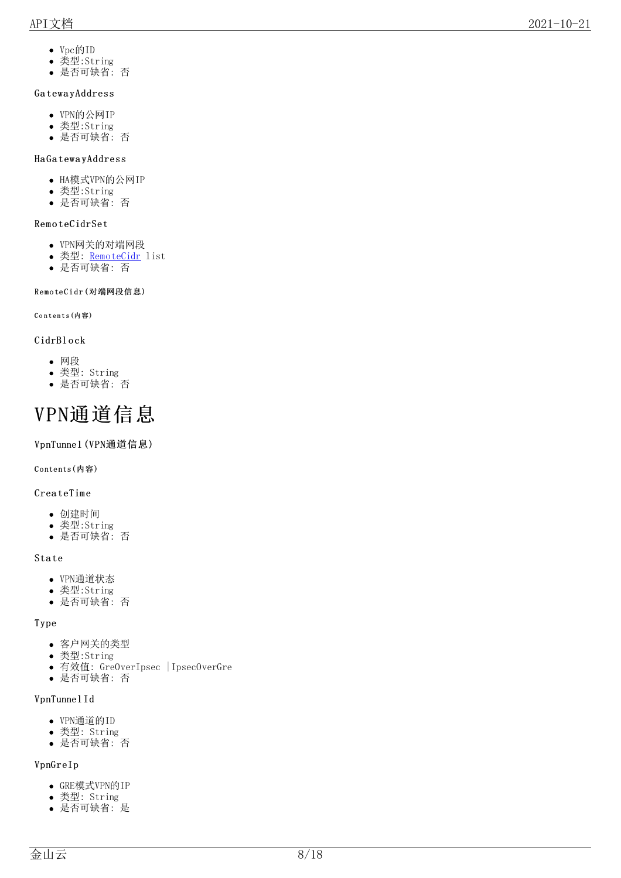- V p c 的 I D
- 类型:String
- 是 否 可 缺 省: 否

#### GatewayAddress

- VPN的公网IP
- 类型:String
- 是 否 可 缺 省: 否

#### H a G a t e w a y A d d r e s s

- HA模式VPN的公网IP
- 类型:String
- 是 否 可 缺 省: 否

#### RemoteCidrSet

- V P N 网 关 的 对 端 网 段
- 类型: <u>[R](#page-2-3)emoteCidr</u> list
- 是 否 可 缺 省: 否

#### <span id="page-7-0"></span>RemoteCidr(对端网段信息)

<span id="page-7-1"></span>Contents(内容)

#### CidrBlock

- 网 段
- 类型: String
- 是 否 可 缺 省: 否

# <span id="page-7-2"></span>V P N 通 道 信 息

#### <span id="page-7-3"></span>VpnTunne1(VPN通道信息)

<span id="page-7-4"></span>Contents(内容)

#### CreateTime

- 创 建 时 间
- 类型:String
- 是 否 可 缺 省: 否

#### State

- e<br>VPN通道状态
- 类型:String
- 是 否 可 缺 省: 否

#### T y p e

- 客户网关的类型
- 类型:String
- 有效值: GreOverIpsec | IpsecOverGre
- 是 否 可 缺 省: 否

#### VpnTunnelId

- V P N 通 道 的 I D
- 类型: String
- 是 否 可 缺 省: 否

### V p n G r e I p

- GRE模式VPN的IP
- 类型: String
- 是 否 可 缺 省: 是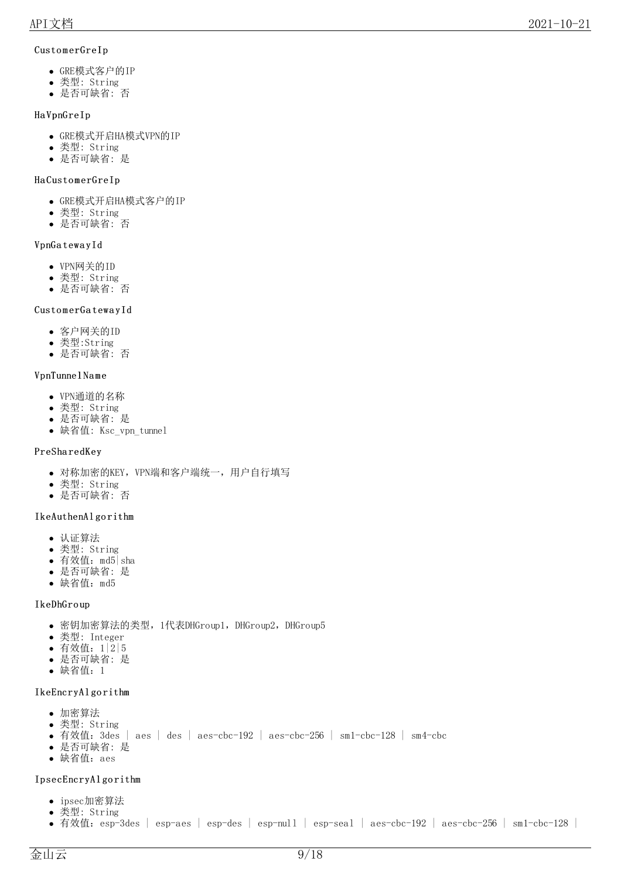#### CustomerGreIp

- GRE模式客户的IP
- 类型: String
- 是否可缺省: 否

#### Ha VpnGreIp

- GRE模式开启HA模式VPN的IP
- 类型: String
- 是否可缺省: 是

#### Ha CustomerGreIp

- GRE模式开启HA模式客户的IP
- 类型: String
- 是否可缺省: 否

#### VpnGa tewa yId

- VPN网关的ID
- 类型: String
- 是否可缺省: 否

#### CustomerGatewayId

- 客户网关的ID
- 类型:String
- 是否可缺省: 否

#### VpnTunnel Na m e

- VPN通道的名称
- 类型: String
- 是否可缺省: 是
- 缺省值: Ksc\_vpn\_tunnel

#### PreSha redKey

- 对称加密的KEY,VPN端和客户端统一,用户自行填写
- 类型: String
- 是否可缺省: 否

#### IkeAuthenAl go rithm

- 认证算法
- 类型: String
- 有效值:md5|sha
- 是否可缺省: 是
- 缺省值:md5

#### IkeDhGro up

- 密钥加密算法的类型,1代表DHGroup1,DHGroup2,DHGroup5
- 类型: Integer
- 有效值:1|2|5
- 是否可缺省: 是
- 缺省值:1
- IkeEncryAlgorithm

#### 加密算法

- 类型: String
- 有效值: 3des | aes | des | aes-cbc-192 | aes-cbc-256 | sm1-cbc-128 | sm4-cbc
- 是否可缺省: 是
- 缺省值:aes

#### IpsecEncryAlgorithm

- ipsec加密算法
- 类型: String
- 有效值: esp-3des | esp-aes | esp-des | esp-null | esp-seal | aes-cbc-192 | aes-cbc-256 | sm1-cbc-128 |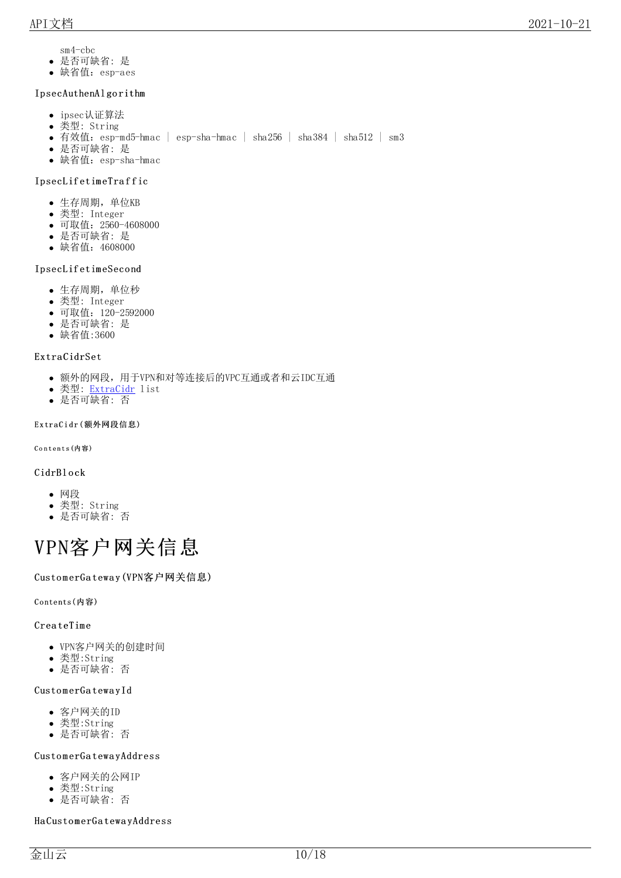sm4-cbc

- 是否可缺省: 是
- 缺省值: esp-aes

#### IpsecAuthenAl go rithm

- ipsec认证算法
- 类型: String
- 有效值: esp-md5-hmac | esp-sha-hmac | sha256 | sha384 | sha512 | sm3
- 是否可缺省: 是
- 缺省值: esp-sha-hmac

#### IpsecLif etim eTra f f ic

- 生存周期,单位KB
- 类型: Integer
- 可取值:2560-4608000
- 是否可缺省: 是
- 缺省值:4608000

#### IpsecLif etim eSeco nd

- 生存周期,单位秒
- 类型: Integer
- 可取值:120-2592000
- 是否可缺省: 是
- 缺省值:3600

#### Extra CidrSet

- 额外的网段,用于VPN和对等连接后的VPC互通或者和云IDC互通
- 类型: [ExtraCidr](#page-2-3) list
- 是否可缺省: 否

#### <span id="page-9-0"></span>ExtraCidr(额外网段信息)

<span id="page-9-1"></span>Contents (内容)

#### CidrBl o ck

- 网段
- 类型: String
- 是否可缺省: 否

# <span id="page-9-2"></span>VPN客户网关信息

#### <span id="page-9-3"></span>CustomerGateway(VPN客户网关信息)

<span id="page-9-4"></span>Contents(内容)

#### **CreateTime**

- VPN客户网关的创建时间
- 类型:String
- 是否可缺省: 否

#### CustomerGatewayId

- 客户网关的ID
- 类型:String
- 是否可缺省: 否

#### CustomerGatewayAddress

- 客户网关的公网IP
- 类型:String
- 是否可缺省: 否

Ha CustomerGatewayAddress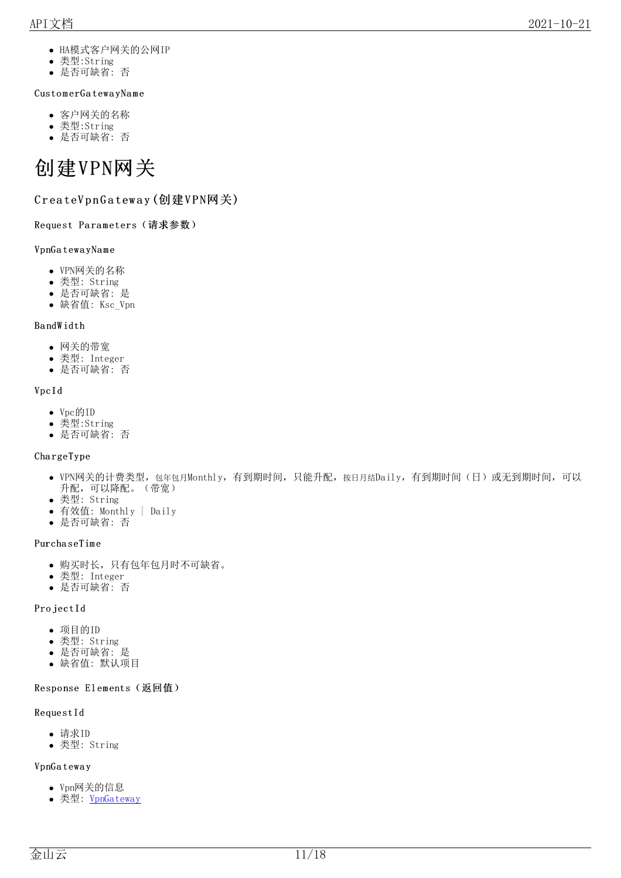- HA模式客户网关的公网IP
- 类型:String
- 是否可缺省: 否

#### CustomerGatewayName

- 客户网关的名称
- 类型:String
- 是否可缺省: 否

# <span id="page-10-0"></span>创建VPN网关

### <span id="page-10-1"></span>CreateVpnGateway (创建VPN网关)

<span id="page-10-2"></span>Request Parameters (请求参数)

#### VpnGa tewa yNa m e

- VPN网关的名称
- 类型: String
- 是否可缺省: 是
- 缺省值: Ksc\_Vpn

#### Ba ndW idth

- 网关的带宽
- 类型: Integer
- 是否可缺省: 否

#### VpcId

- Vpc的ID
- 类型:String
- 是否可缺省: 否

#### Cha rgeType

- VPN网关的计费类型, 包年包月Monthly, 有到期时间, 只能升配, 按日月结Daily, 有到期时间(日)或无到期时间, 可以 升配,可以降配。(带宽)
- 类型: String
- 有效值: Monthly | Daily
- 是否可缺省: 否

#### Purcha seTim e

- 购买时长,只有包年包月时不可缺省。
- 类型: Integer
- 是否可缺省: 否

#### Pro jectId

- 项目的ID
- 类型: String
- 是否可缺省: 是
- 缺省值: 默认项目

#### <span id="page-10-3"></span>Response Elements (返回值)

#### RequestId

- 请求ID
- 类型: String

#### VpnGa tewa y

- Vpn网关的信息
- 类型: [VpnGateway](https://docs.ksyun.com/documents/5316)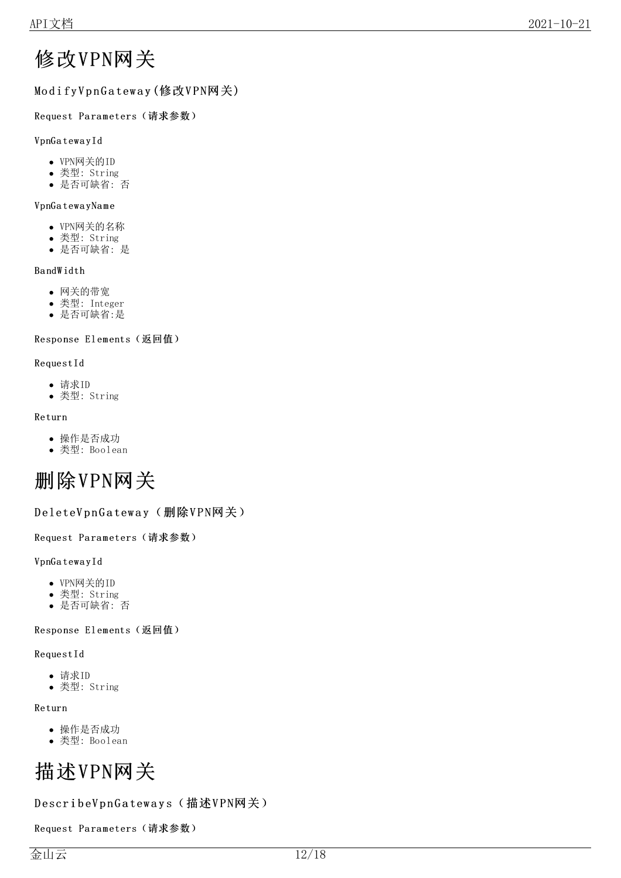# <span id="page-11-0"></span>修改VPN网关

# <span id="page-11-1"></span>Modify VpnGateway (修改VPN网关)

### <span id="page-11-2"></span>Request Parameters (请求参数)

### VpnGa tewa yId

- VPN网关的ID
- 类型: String
- 是否可缺省: 否

### VpnGa tewa yNa m e

- VPN网关的名称
- 类型: String
- 是否可缺省: 是

### Ba ndW idth

- 网关的带宽
- 类型: Integer
- 是否可缺省:是

### <span id="page-11-3"></span>Response Elements (返回值)

#### RequestId

- 请求ID
- 类型: String

#### Return

- 操作是否成功
- 类型: Boolean

# <span id="page-11-4"></span>删除VPN网关

### <span id="page-11-5"></span>DeleteVpnGateway(删除VPN网关)

#### <span id="page-11-6"></span>Request Parameters (请求参数)

#### VpnGa tewa yId

- VPN网关的ID
- 类型: String
- 是否可缺省: 否

### <span id="page-11-7"></span>Response Elements (返回值)

#### RequestId

- 请求ID
- 类型: String

#### Return

- 操作是否成功
- 类型: Boolean

# <span id="page-11-8"></span>描述VPN网关

### <span id="page-11-9"></span>DescribeVpnGateways(描述VPN网关)

<span id="page-11-10"></span>Request Parameters (请求参数)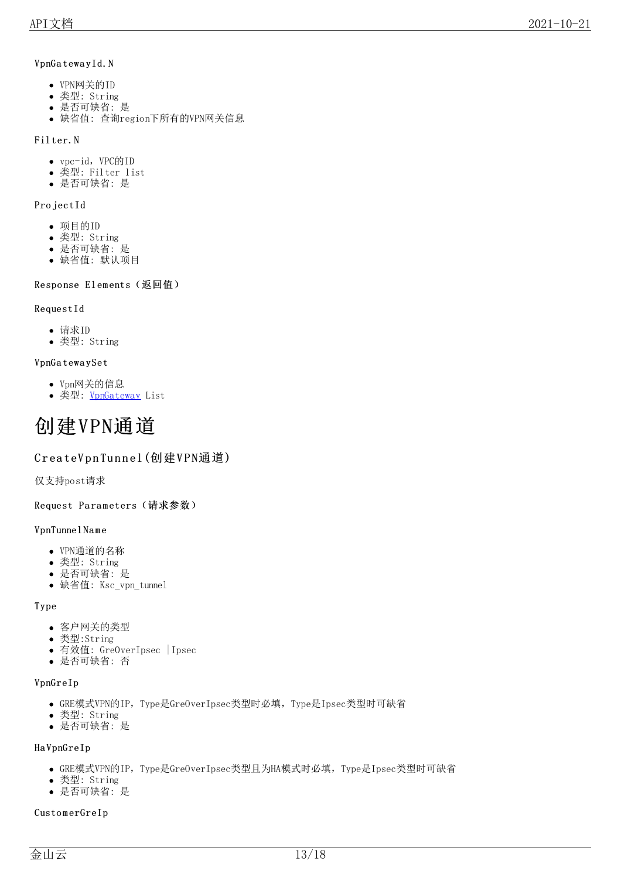#### VpnGatewayId.N

- VPN网关的ID
- 类型: String
- 是否可缺省: 是
- 缺省值: 查询region下所有的VPN网关信息

#### Fil ter.N

- vpc-id, VPC的ID
- 类型: Filter list
- 是否可缺省: 是

#### Pro jectId

- 项目的ID
- 类型: String
- 是否可缺省: 是
- 缺省值: 默认项目

#### <span id="page-12-0"></span>Response Elements (返回值)

#### RequestId

- 请求ID
- 类型: String

#### VpnGa tewa ySet

- Vpn网关的信息
- 类型: [VpnGateway](https://docs.ksyun.com/documents/5316) List

# <span id="page-12-1"></span>创建VPN通道

### <span id="page-12-2"></span>CreateVpnTunnel(创建VPN通道)

仅支持post请求

<span id="page-12-3"></span>Request Parameters (请求参数)

#### VpnTunnel Na m e

- VPN通道的名称
- 类型: String
- 是否可缺省: 是
- 缺省值: Ksc\_vpn\_tunnel

#### Type

- 客户网关的类型
- 类型:String
- 有效值: GreOverIpsec | Ipsec
- 是否可缺省: 否

#### VpnGreIp

- GRE模式VPN的IP,Type是GreOverIpsec类型时必填,Type是Ipsec类型时可缺省
- 类型: String
- 是否可缺省: 是

#### Ha VpnGreIp

- GRE模式VPN的IP, Type是GreOverIpsec类型且为HA模式时必填, Type是Ipsec类型时可缺省
- 类型: String
- 是否可缺省: 是

#### CustomerGreIp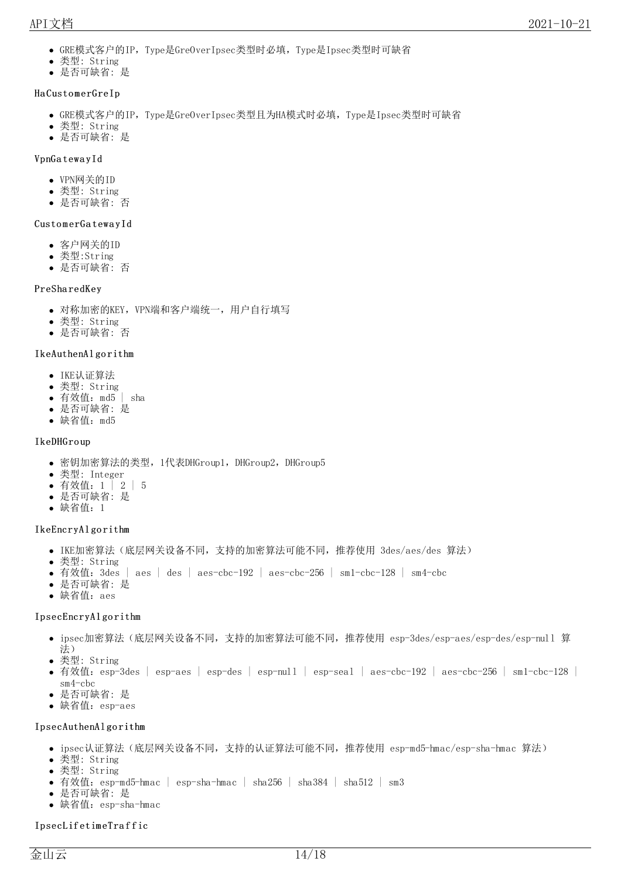- GRE模式客户的IP, Type是Gre0verIpsec类型时必填, Type是Ipsec类型时可缺省
- 类型: String
- 是否可缺省: 是

#### Ha CustomerGreIp

- GRE模式客户的IP, Type是GreOverIpsec类型且为HA模式时必填, Type是Ipsec类型时可缺省
- 类型: String
- 是否可缺省: 是

#### VpnGa tewa yId

- VPN网关的ID
- 类型: String
- 是否可缺省: 否

#### CustomerGatewayId

- 客户网关的ID
- 类型:String
- 是否可缺省: 否

#### PreSha redKey

- 对称加密的KEY, VPN端和客户端统一, 用户自行填写
- 类型: String
- 是否可缺省: 否

#### IkeAuthenAl go rithm

- IKE认证算法
- 类型: String
- 有效值:md5 | sha
- 是否可缺省: 是
- 缺省值:md5

#### IkeDHGro up

- 密钥加密算法的类型, 1代表DHGroup1, DHGroup2, DHGroup5
- 类型: Integer
- 有效值:1 | 2 | 5
- 是否可缺省: 是
- 缺省值:1

#### IkeEncryAlgorithm

- IKE加密算法(底层网关设备不同,支持的加密算法可能不同,推荐使用 3des/aes/des 算法)
- 类型: String
- 有效值: 3des | aes | des | aes-cbc-192 | aes-cbc-256 | sm1-cbc-128 | sm4-cbc
- 是否可缺省: 是
- 缺省值:aes

#### IpsecEncryAlgorithm

- ipsec加密算法(底层网关设备不同,支持的加密算法可能不同,推荐使用 esp-3des/esp-aes/esp-des/esp-null 算 法)
- 类型: String
- 有效值: esp-3des | esp-aes | esp-des | esp-null | esp-seal | aes-cbc-192 | aes-cbc-256 | sm1-cbc-128 | sm4-cbc
- 是否可缺省: 是
- 缺省值: esp-aes

#### IpsecAuthenAl go rithm

- ipsec认证算法(底层网关设备不同,支持的认证算法可能不同,推荐使用 esp-md5-hmac/esp-sha-hmac 算法)
- 类型: String
- 类型: String
- 有效值: esp-md5-hmac | esp-sha-hmac | sha256 | sha384 | sha512 | sm3
- 是否可缺省: 是
- 缺省值: esp-sha-hmac

#### IpsecLif etim eTra f f ic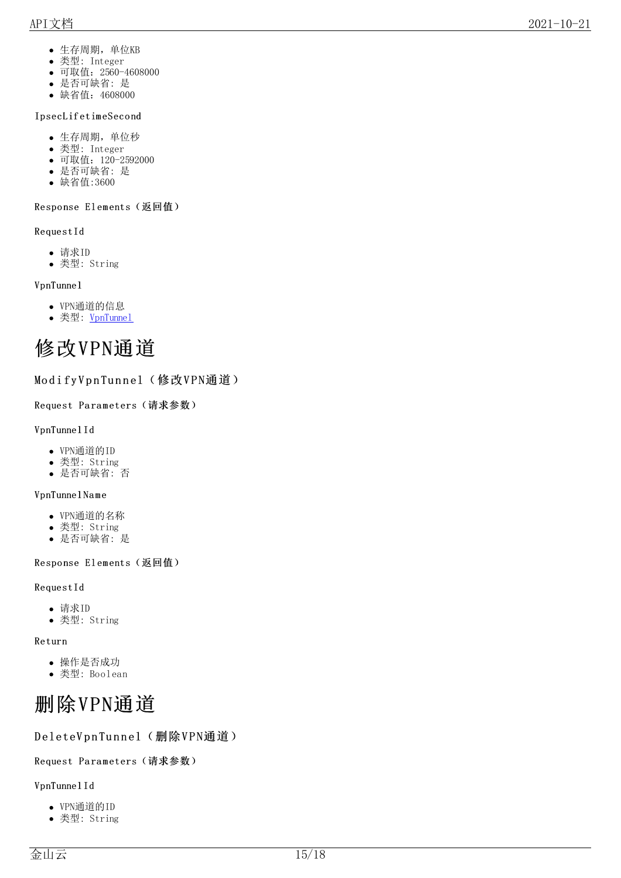- 生存周期,单位KB
- 类型: Integer
- 可取值: 2560-4608000
- 是 否 可 缺 省: 是
- 缺省值: 4608000

#### IpsecLifetimeSecond

- 生存周期,单位秒
- 类型: Integer
- 可取值: 120-2592000
- 是 否 可 缺 省: 是
- 缺 省 值:3 6 0 0

#### <span id="page-14-0"></span>Response Elements(返回值)

R e q u e s t I d

- 请求ID
- 类型: String

#### VpnTunnel

- V P N 通 道 的 信 息
- 类型: VpnT[unn](https://docs.ksyun.com/documents/5317)el

# <span id="page-14-1"></span>修改VPN通道

### <span id="page-14-2"></span>ModifyVpnTunnel(修改VPN通道)

<span id="page-14-3"></span>Request Parameters(请求参数)

#### VpnTunnelId

- V P N 通 道 的 I D
- 类型: String
- 是 否 可 缺 省: 否

#### VpnTunnelName

- V P N 通 道 的 名 称
- 类型: String
- 是 否 可 缺 省: 是

#### <span id="page-14-4"></span>Response Elements(返回值)

#### R e q u e s t I d

- 请求ID
- 类型: String

#### Returr

- rn<br>操作是否成功
- 类型: Boolean

# <span id="page-14-5"></span>删除VPN通道

### <span id="page-14-6"></span>DeleteVpnTunnel(删除VPN通道)

#### <span id="page-14-7"></span>Request Parameters(请求参数)

#### VpnTunnelId

- V P N 通 道 的 I D
- 类型: String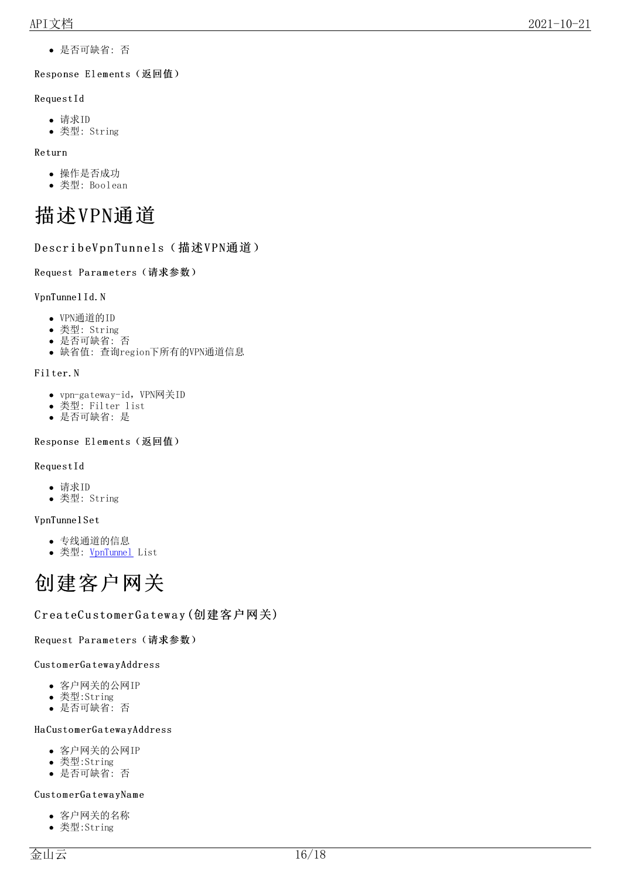是否可缺省: 否

#### <span id="page-15-0"></span>Response Elements (返回值)

#### RequestId

- 请求ID
- 类型: String

#### Return

- 操作是否成功
- 类型: Boolean

# <span id="page-15-1"></span>描述VPN通道

### <span id="page-15-2"></span>DescribeVpnTunnels(描述VPN通道)

#### <span id="page-15-3"></span>Request Parameters (请求参数)

#### VpnTunnel Id.N

- VPN通道的ID
- 类型: String
- 是否可缺省: 否
- 缺省值: 查询region下所有的VPN通道信息

### Fil ter.N

- vpn-gateway-id, VPN网关ID
- 类型: Filter list
- 是否可缺省: 是

#### <span id="page-15-4"></span>Response Elements (返回值)

#### RequestId

- 请求ID
- 类型: String

#### VpnTunnel Set

- 专线通道的信息
- 类型: [VpnTunnel](https://docs.ksyun.com/documents/5317) List

# <span id="page-15-5"></span>创建客户网关

### <span id="page-15-6"></span>CreateCustomerGateway (创建客户网关)

#### <span id="page-15-7"></span>Request Parameters (请求参数)

#### CustomerGatewayAddress

- 客户网关的公网IP
- 类型:String
- 是否可缺省: 否

#### Ha CustomerGatewayAddress

- 客户网关的公网IP
- 类型:String
- 是否可缺省: 否

#### CustomerGatewayName

- 客户网关的名称
- 类型:String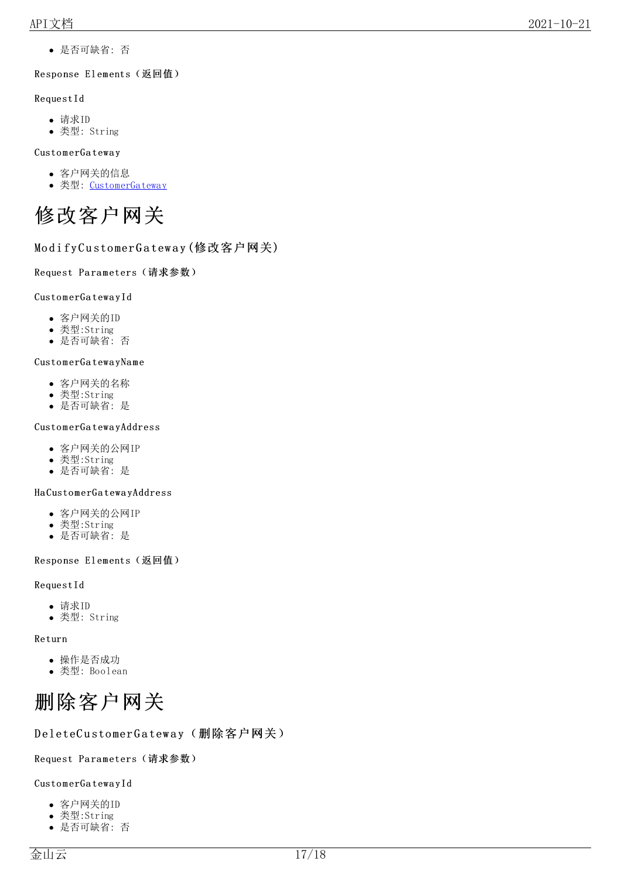是否可缺省: 否

#### <span id="page-16-0"></span>Response Elements (返回值)

#### RequestId

- 请求ID
- 类型: String

#### CustomerGateway

- 客户网关的信息
- 类型: [CustomerGateway](https://docs.ksyun.com/documents/5318)

<span id="page-16-1"></span>

### <span id="page-16-2"></span>ModifyCustomerGateway (修改客户网关)

#### <span id="page-16-3"></span>Request Parameters (请求参数)

#### CustomerGatewayId

- 客户网关的ID
- 类型:String
- 是否可缺省: 否

#### CustomerGatewayName

- 客户网关的名称
- 类型:String
- 是否可缺省: 是

#### CustomerGatewayAddress

- 客户网关的公网IP
- 类型:String
- 是否可缺省: 是

#### Ha CustomerGatewayAddress

- 客户网关的公网IP
- 类型:String
- 是否可缺省: 是

#### <span id="page-16-4"></span>Response Elements (返回值)

#### RequestId

- 请求ID
- 类型: String

#### Return

- 操作是否成功
- 类型: Boolean

# <span id="page-16-5"></span>删除客户网关

#### <span id="page-16-6"></span>DeleteCustomerGateway(删除客户网关)

#### <span id="page-16-7"></span>Request Parameters (请求参数)

#### CustomerGatewayId

- 客户网关的ID
- 类型:String
- 是否可缺省: 否